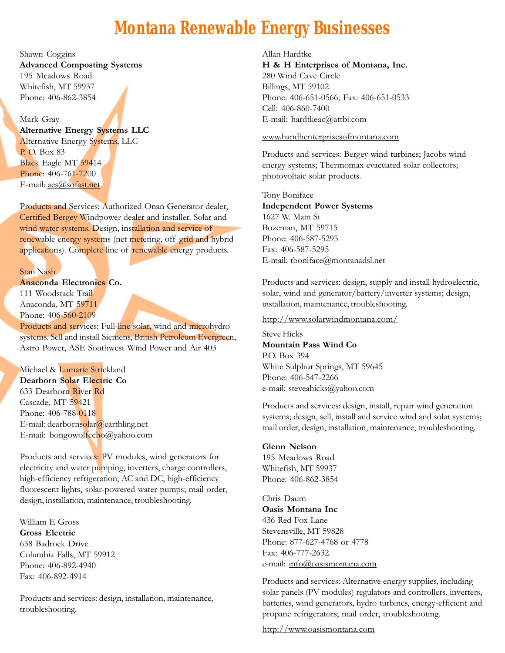# **Montana Renewable Energy Businesses**

Shawn Coggins Advanced Composting Systems 195 Meadows Road Whitefish, MT 59937 Phone: 406-862-3854

# Mark Gray

Alternative Energy Systems LLC

Alternative Energy Systems, LLC P. O. Box 83 Black Eagle MT 59414 Phone: 406-761-7200 E-mail: aes@sofast.net

Products and Services: Authorized Onan Generator dealer, Certified Bergey Windpower dealer and installer. Solar and wind water systems. Design, installation and service of renewable energy systems (net metering, off grid and hybrid applications). Complete line of renewable energy products.

### Stan Nash

Anaconda Electronics Co.

111 Woodstack Trail Anaconda, MT 59711 Phone: 406-560-2109

Products and services: Full-line solar, wind and microhydro systems. Sell and install Siemens, British Petroleum Evergreen, Astro Power, ASE Southwest Wind Power and Air 403

Michael & Lumarie Strickland Dearborn Solar Electric Co 633 Dearborn River Rd Cascade, MT 59421 Phone: 406-788-0118 E-mail: dearbornsolar@earthling.net E-mail: bongowolfecho@yahoo.com

Products and services: PV modules, wind generators for electricity and water pumping, inverters, charge controllers, high-efficiency refrigeration, AC and DC, high-efficiency fluorescent lights, solar-powered water pumps; mail order, design, installation, maintenance, troubleshooting.

William E Gross Gross Electric 638 Badrock Drive Columbia Falls, MT 59912 Phone: 406-892-4940 Fax: 406-892-4914

Products and services: design, installation, maintenance, troubleshooting.

Allan Hardtke H & H Enterprises of Montana, Inc. 280 Wind Cave Circle Billings, MT 59102 Phone: 406-651-0566; Fax: 406-651-0533 Cell: 406-860-7400 E-mail: hardtkeac@attbi.com

#### www.handhenterprisesofmontana.com

Products and services: Bergey wind turbines; Jacobs wind energy systems; Thermomax evacuated solar collectors; photovoltaic solar products.

Tony Boniface Independent Power Systems 1627 W. Main St Bozeman, MT 59715 Phone: 406-587-5295 Fax: 406-587-5295 E-mail: tboniface@montanadsl.net

Products and services: design, supply and install hydroelectric, solar, wind and generator/battery/inverter systems; design, installation, maintenance, troubleshooting.

http://www.solarwindmontana.com/

Steve Hicks Mountain Pass Wind Co P.O. Box 394 White Sulphur Springs, MT 59645 Phone: 406-547-2266 e-mail: steveahicks@yahoo.com

Products and services: design, install, repair wind generation systems; design, sell, install and service wind and solar systems; mail order, design, installation, maintenance, troubleshooting.

## Glenn Nelson

195 Meadows Road Whitefish, MT 59937 Phone: 406-862-3854

Chris Daum Oasis Montana Inc 436 Red Fox Lane Stevensville, MT 59828 Phone: 877-627-4768 or 4778 Fax: 406-777-2632 e-mail: info@oasismontana.com

Products and services: Alternative energy supplies, including solar panels (PV modules) regulators and controllers, inverters, batteries, wind generators, hydro turbines, energy-efficient and propane refrigerators; mail order, troubleshooting.

http://www.oasismontana.com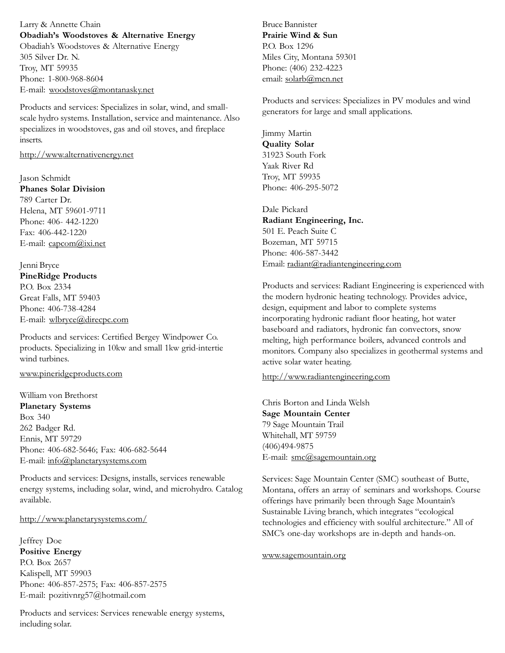Larry & Annette Chain Obadiah's Woodstoves & Alternative Energy Obadiah's Woodstoves & Alternative Energy 305 Silver Dr. N. Troy, MT 59935 Phone: 1-800-968-8604 E-mail: woodstoves@montanasky.net

Products and services: Specializes in solar, wind, and smallscale hydro systems. Installation, service and maintenance. Also specializes in woodstoves, gas and oil stoves, and fireplace inserts.

# http://www.alternativenergy.net

Jason Schmidt Phanes Solar Division 789 Carter Dr. Helena, MT 59601-9711 Phone: 406- 442-1220 Fax: 406-442-1220 E-mail: capcom@ixi.net

Jenni Bryce PineRidge Products P.O. Box 2334 Great Falls, MT 59403 Phone: 406-738-4284 E-mail: wlbryce@direcpc.com

Products and services: Certified Bergey Windpower Co. products. Specializing in 10kw and small 1kw grid-intertie wind turbines.

### www.pineridgeproducts.com

William von Brethorst Planetary Systems Box 340 262 Badger Rd. Ennis, MT 59729 Phone: 406-682-5646; Fax: 406-682-5644 E-mail: info@planetarysystems.com

Products and services: Designs, installs, services renewable energy systems, including solar, wind, and microhydro. Catalog available.

## http://www.planetarysystems.com/

Jeffrey Doe Positive Energy P.O. Box 2657 Kalispell, MT 59903 Phone: 406-857-2575; Fax: 406-857-2575 E-mail: pozitivnrg57@hotmail.com

Products and services: Services renewable energy systems, including solar.

Bruce Bannister Prairie Wind & Sun P.O. Box 1296 Miles City, Montana 59301 Phone: (406) 232-4223 email: solarb@mcn.net

Products and services: Specializes in PV modules and wind generators for large and small applications.

Jimmy Martin Quality Solar 31923 South Fork Yaak River Rd Troy, MT 59935 Phone: 406-295-5072

Dale Pickard Radiant Engineering, Inc. 501 E. Peach Suite C Bozeman, MT 59715 Phone: 406-587-3442 Email: radiant@radiantengineering.com

Products and services: Radiant Engineering is experienced with the modern hydronic heating technology. Provides advice, design, equipment and labor to complete systems incorporating hydronic radiant floor heating, hot water baseboard and radiators, hydronic fan convectors, snow melting, high performance boilers, advanced controls and monitors. Company also specializes in geothermal systems and active solar water heating.

http://www.radiantengineering.com

Chris Borton and Linda Welsh Sage Mountain Center 79 Sage Mountain Trail Whitehall, MT 59759 (406)494-9875 E-mail: smc@sagemountain.org

Services: Sage Mountain Center (SMC) southeast of Butte, Montana, offers an array of seminars and workshops. Course offerings have primarily been through Sage Mountain's Sustainable Living branch, which integrates "ecological technologies and efficiency with soulful architecture." All of SMC's one-day workshops are in-depth and hands-on.

www.sagemountain.org